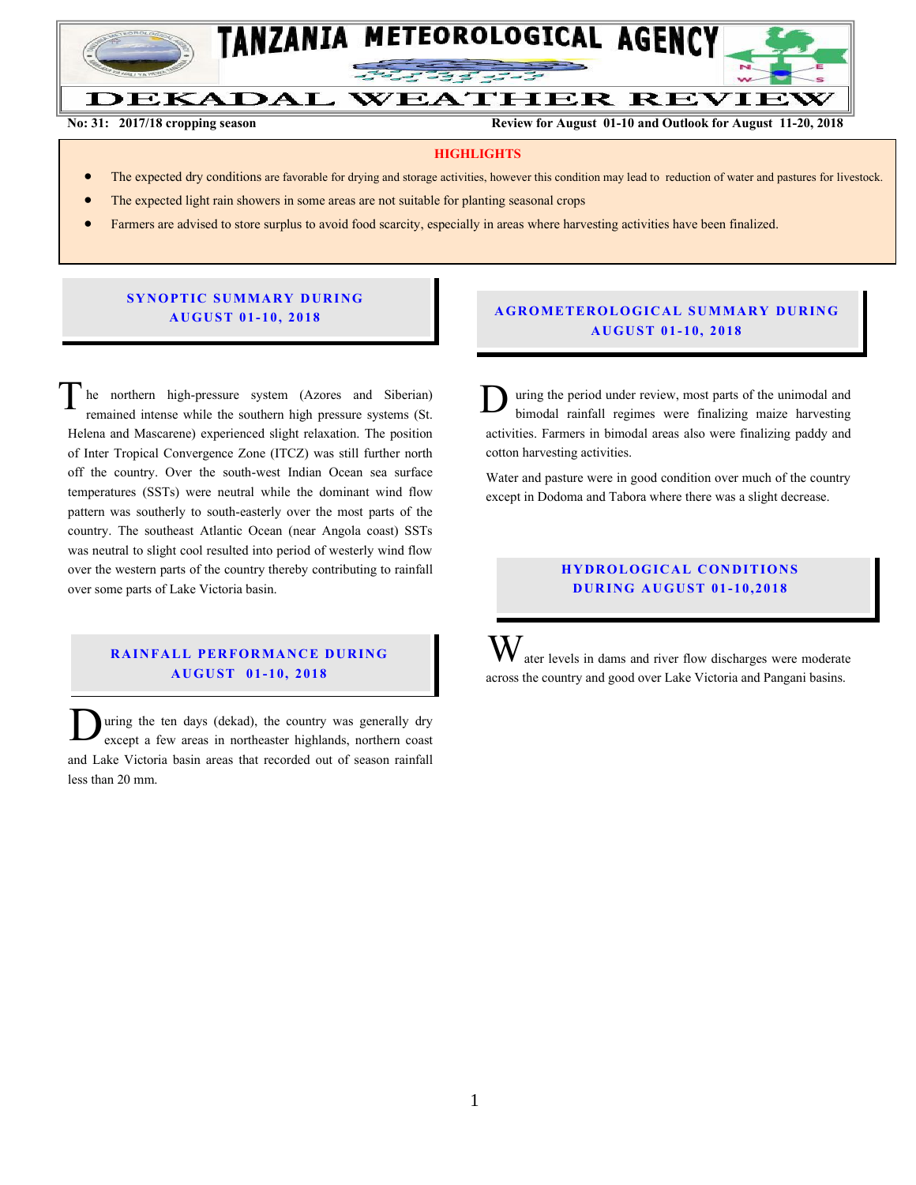

#### DEKADAL **WEATHER REVIEW No: 31: 2017/18 cropping season Review for August 01-10 and Outlook for August 11-20, 2018**

#### **HIGHLIGHTS**

- The expected dry conditions are favorable for drying and storage activities, however this condition may lead to reduction of water and pastures for livestock.
- The expected light rain showers in some areas are not suitable for planting seasonal crops
- Farmers are advised to store surplus to avoid food scarcity, especially in areas where harvesting activities have been finalized.

### **SYNOPTIC SUMMARY DURING A U GU ST 01- 10, 201 8**

he northern high-pressure system (Azores and Siberian) remained intense while the southern high pressure systems (St. Helena and Mascarene) experienced slight relaxation. The position of Inter Tropical Convergence Zone (ITCZ) was still further north off the country. Over the south-west Indian Ocean sea surface temperatures (SSTs) were neutral while the dominant wind flow pattern was southerly to south-easterly over the most parts of the country. The southeast Atlantic Ocean (near Angola coast) SSTs was neutral to slight cool resulted into period of westerly wind flow over the western parts of the country thereby contributing to rainfall over some parts of Lake Victoria basin. T

# **RAINFALL PERFORMANCE DURING A U GU ST 01- 10, 2018**

uring the ten days (dekad), the country was generally dry except a few areas in northeaster highlands, northern coast and Lake Victoria basin areas that recorded out of season rainfall less than 20 mm.  $\overline{\mathbf{D}}$ 

#### **A G RO METER O LO G IC AL SU MMAR Y DU R IN G A U GU ST 01- 10, 2018**

uring the period under review, most parts of the unimodal and bimodal rainfall regimes were finalizing maize harvesting activities. Farmers in bimodal areas also were finalizing paddy and cotton harvesting activities.  $\mathbf{D}_\mathrm{t}^\mathrm{u}$ 

Water and pasture were in good condition over much of the country except in Dodoma and Tabora where there was a slight decrease.

# **HYDROLOGICAL CONDITIONS D UR ING A U GU ST 01 - 10,2018**

 $\mathbf{W}$  ater levels in dams and river flow discharges were moderate across the country and good over Lake Victoria and Pangani basins.